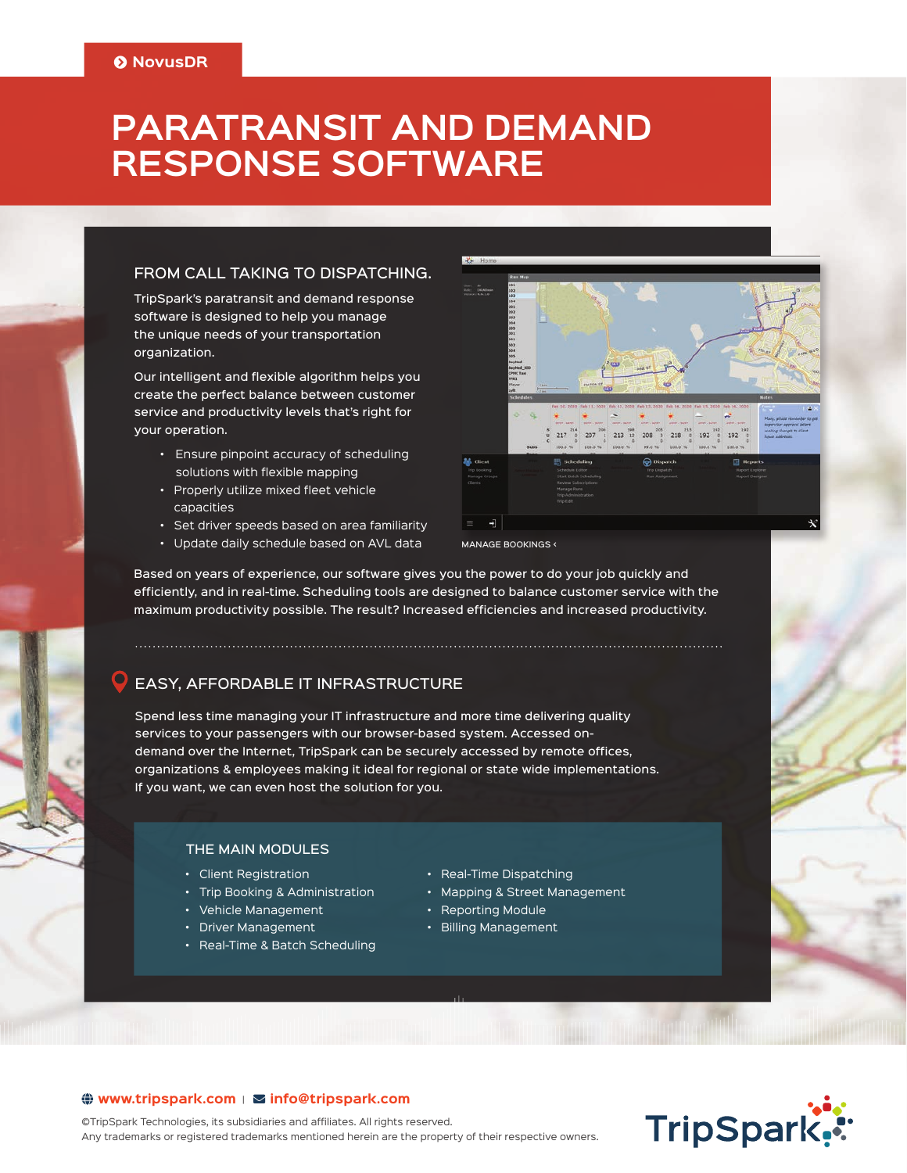# **PARATRANSIT AND DEMAND RESPONSE SOFTWARE**

# FROM CALL TAKING TO DISPATCHING.

TripSpark's paratransit and demand response software is designed to help you manage the unique needs of your transportation organization.

Our intelligent and flexible algorithm helps you create the perfect balance between customer service and productivity levels that's right for your operation.

- Ensure pinpoint accuracy of scheduling solutions with flexible mapping
- Properly utilize mixed fleet vehicle capacities
- Set driver speeds based on area familiarity
- Update daily schedule based on AVL data





MANAGE BOOKINGS <

Based on years of experience, our software gives you the power to do your job quickly and efficiently, and in real-time. Scheduling tools are designed to balance customer service with the maximum productivity possible. The result? Increased efficiencies and increased productivity.

# EASY, AFFORDABLE IT INFRASTRUCTURE

Spend less time managing your IT infrastructure and more time delivering quality services to your passengers with our browser-based system. Accessed ondemand over the Internet, TripSpark can be securely accessed by remote offices, organizations & employees making it ideal for regional or state wide implementations. If you want, we can even host the solution for you.

### THE MAIN MODULES

- Client Registration
- Trip Booking & Administration
- Vehicle Management
- Driver Management
- Real-Time & Batch Scheduling
- Real-Time Dispatching
- Mapping & Street Management
- Reporting Module
- Billing Management

# **TripSpark.**

# **www.tripspark.com** <sup>|</sup> **info@ tripspark. com**

©TripSpark Technologies, its subsidiaries and affiliates. All rights reserved. Any trademarks or registered trademarks mentioned herein are the property of their respective owners.